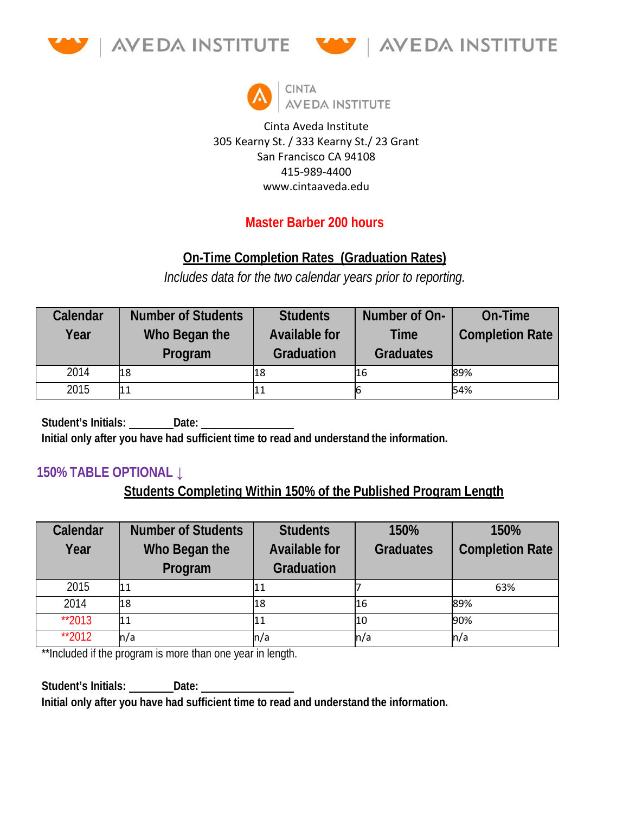





Cinta Aveda Institute 305 Kearny St. / 333 Kearny St./ 23 Grant San Francisco CA 94108 415-989-4400 www.cintaaveda.edu

# **Master Barber 200 hours**

# **On-Time Completion Rates (Graduation Rates)**

*Includes data for the two calendar years prior to reporting.*

| Calendar | <b>Number of Students</b> | <b>Students</b>                    | Number of On-            | On-Time                |
|----------|---------------------------|------------------------------------|--------------------------|------------------------|
| Year     | Who Began the<br>Program  | <b>Available for</b><br>Graduation | Time<br><b>Graduates</b> | <b>Completion Rate</b> |
| 2014     | 18                        | 18                                 | 16                       | 89%                    |
| 2015     | l1 1                      |                                    |                          | 54%                    |

**Student's Initials: Date: Initial only after you have had sufficient time to read and understand the information.**

#### **150% TABLE OPTIONAL ↓**

## **Students Completing Within 150% of the Published Program Length**

| Calendar | <b>Number of Students</b> | <b>Students</b>          | 150%             | 150%                   |
|----------|---------------------------|--------------------------|------------------|------------------------|
| Year     | Who Began the             | <b>Available for</b>     | <b>Graduates</b> | <b>Completion Rate</b> |
|          | Program                   | Graduation               |                  |                        |
| 2015     | 11                        | 11                       |                  | 63%                    |
| 2014     | 18                        | 18                       | l16              | 89%                    |
| **2013   | l1 1                      | 11                       | 10               | 90%                    |
| **2012   | n/a                       | $\mathsf{In}/\mathsf{a}$ | ln/a             | ln/a                   |

\*\*Included if the program is more than one year in length.

**Student's Initials:** Date: **Initial only after you have had sufficient time to read and understand the information.**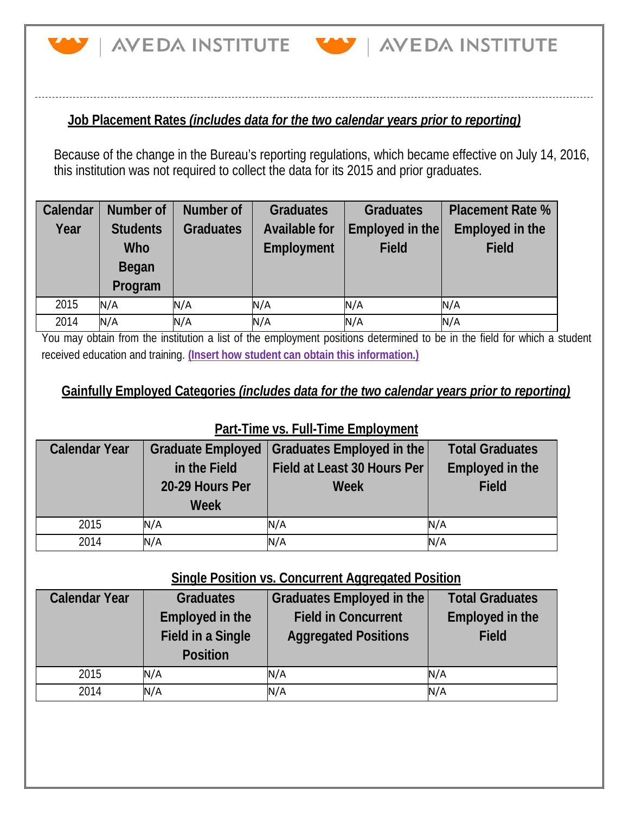

#### **Job Placement Rates** *(includes data for the two calendar years prior to reporting)*

Because of the change in the Bureau's reporting regulations, which became effective on July 14, 2016, this institution was not required to collect the data for its 2015 and prior graduates.

| Calendar | Number of       | Number of        | <b>Graduates</b>     | <b>Graduates</b> | <b>Placement Rate %</b> |
|----------|-----------------|------------------|----------------------|------------------|-------------------------|
| Year     | <b>Students</b> | <b>Graduates</b> | <b>Available for</b> | Employed in the  | Employed in the         |
|          | Who             |                  | Employment           | <b>Field</b>     | <b>Field</b>            |
|          | Began           |                  |                      |                  |                         |
|          | Program         |                  |                      |                  |                         |
| 2015     | N/A             | N/A              | N/A                  | N/A              | N/A                     |
| 2014     | N/A             | N/A              | N/A                  | N/A              | N/A                     |

You may obtain from the institution a list of the employment positions determined to be in the field for which a student received education and training. **(Insert how student can obtain this information.)**

### **Gainfully Employed Categories** *(includes data for the two calendar years prior to reporting)*

#### **Part-Time vs. Full-Time Employment**

| <b>Calendar Year</b> | <b>Graduate Employed</b><br>in the Field<br>20-29 Hours Per<br>Week | Graduates Employed in the<br>Field at Least 30 Hours Per<br>Week | <b>Total Graduates</b><br><b>Employed in the</b><br><b>Field</b> |
|----------------------|---------------------------------------------------------------------|------------------------------------------------------------------|------------------------------------------------------------------|
| 2015                 | N/A                                                                 | N/A                                                              | N/A                                                              |
| 2014                 | N/A                                                                 | N/A                                                              | N/A                                                              |

### **Single Position vs. Concurrent Aggregated Position**

| <b>Calendar Year</b> | <b>Graduates</b><br>Employed in the<br><b>Field in a Single</b><br><b>Position</b> | Graduates Employed in the<br><b>Field in Concurrent</b><br><b>Aggregated Positions</b> | <b>Total Graduates</b><br><b>Employed in the</b><br><b>Field</b> |
|----------------------|------------------------------------------------------------------------------------|----------------------------------------------------------------------------------------|------------------------------------------------------------------|
| 2015                 | N/A                                                                                | N/A                                                                                    | N/A                                                              |
| 2014                 | N/A                                                                                | N/A                                                                                    | N/A                                                              |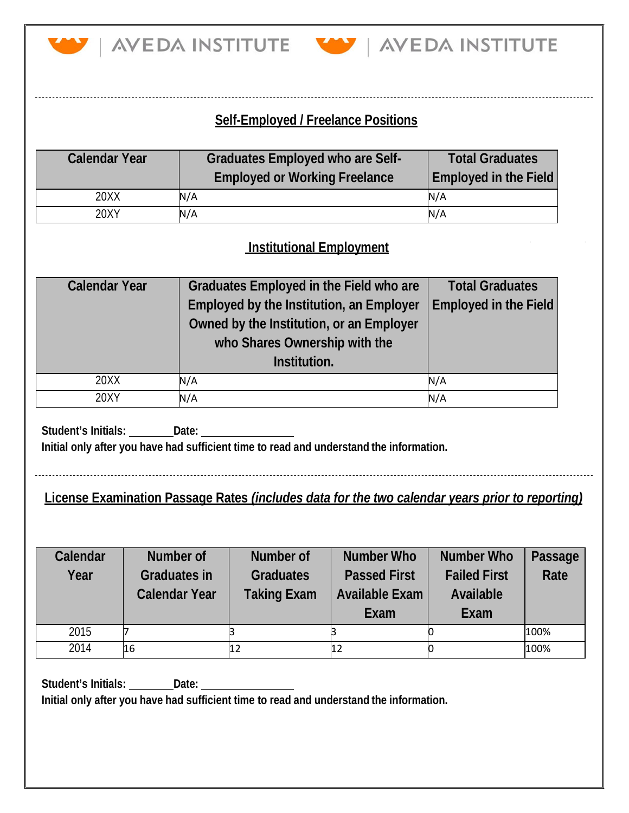

AVEDA INSTITUTE VAVEDA INSTITUTE

## **Self-Employed / Freelance Positions**

| <b>Calendar Year</b> | <b>Graduates Employed who are Self-</b><br><b>Employed or Working Freelance</b> | <b>Total Graduates</b><br><b>Employed in the Field</b> |
|----------------------|---------------------------------------------------------------------------------|--------------------------------------------------------|
| 20XX                 | N/A                                                                             | N/A                                                    |
| 20XY                 | N/A                                                                             | N/A                                                    |

### **Institutional Employment**

| <b>Calendar Year</b> | Graduates Employed in the Field who are  | <b>Total Graduates</b> |
|----------------------|------------------------------------------|------------------------|
|                      | Employed by the Institution, an Employer | Employed in the Field  |
|                      | Owned by the Institution, or an Employer |                        |
|                      | who Shares Ownership with the            |                        |
|                      | Institution.                             |                        |
| 20XX                 | N/A                                      | N/A                    |
| 20XY                 | N/A                                      | N/A                    |

**Student's Initials: Date: Initial only after you have had sufficient time to read and understand the information.**

# **License Examination Passage Rates** *(includes data for the two calendar years prior to reporting)*

| Calendar | Number of            | Number of          | Number Who            | <b>Number Who</b>   | Passage |
|----------|----------------------|--------------------|-----------------------|---------------------|---------|
| Year     | <b>Graduates in</b>  | <b>Graduates</b>   | <b>Passed First</b>   | <b>Failed First</b> | Rate    |
|          | <b>Calendar Year</b> | <b>Taking Exam</b> | <b>Available Exam</b> | Available           |         |
|          |                      |                    | Exam                  | Exam                |         |
| 2015     |                      |                    |                       |                     | 100%    |
| 2014     | 16                   |                    |                       |                     | 100%    |

**Student's Initials: Date:**

**Initial only after you have had sufficient time to read and understand the information.**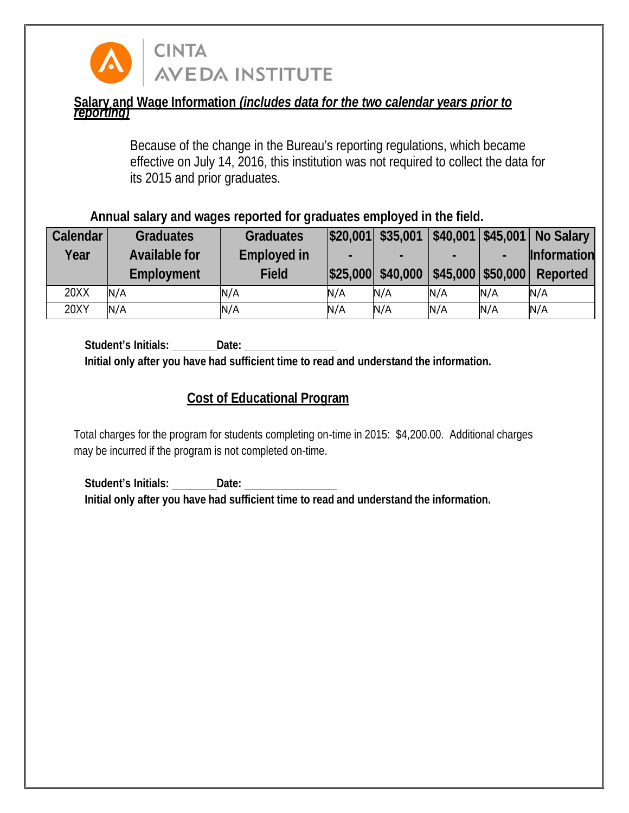

**AVEDA INSTITUTE** 

**CINTA** 

#### **Salary and Wage Information** *(includes data for the two calendar years prior to reporting)*

Because of the change in the Bureau's reporting regulations, which became effective on July 14, 2016, this institution was not required to collect the data for its 2015 and prior graduates.

**Annual salary and wages reported for graduates employed in the field.**

| Calendar | <b>Graduates</b>     | <b>Graduates</b>   | \$20,001 | \$35,001          | $\mid$ \$40,001   \$45,001 |                     | <b>No Salary</b>   |
|----------|----------------------|--------------------|----------|-------------------|----------------------------|---------------------|--------------------|
| Year     | <b>Available for</b> | <b>Employed in</b> | -        | -                 |                            |                     | <b>Information</b> |
|          | Employment           | <b>Field</b>       |          | \$25,000 \$40,000 |                            | $$45,000$ $$50,000$ | Reported           |
| 20XX     | N/A                  | N/A                | N/A      | N/A               | N/A                        | N/A                 | N/A                |
| 20XY     | N/A                  | N/A                | N/A      | N/A               | N/A                        | N/A                 | N/A                |

**Student's Initials: Date: Initial only after you have had sufficient time to read and understand the information.**

### **Cost of Educational Program**

Total charges for the program for students completing on-time in 2015: \$4,200.00. Additional charges may be incurred if the program is not completed on-time.

**Student's Initials: Date: Initial only after you have had sufficient time to read and understand the information.**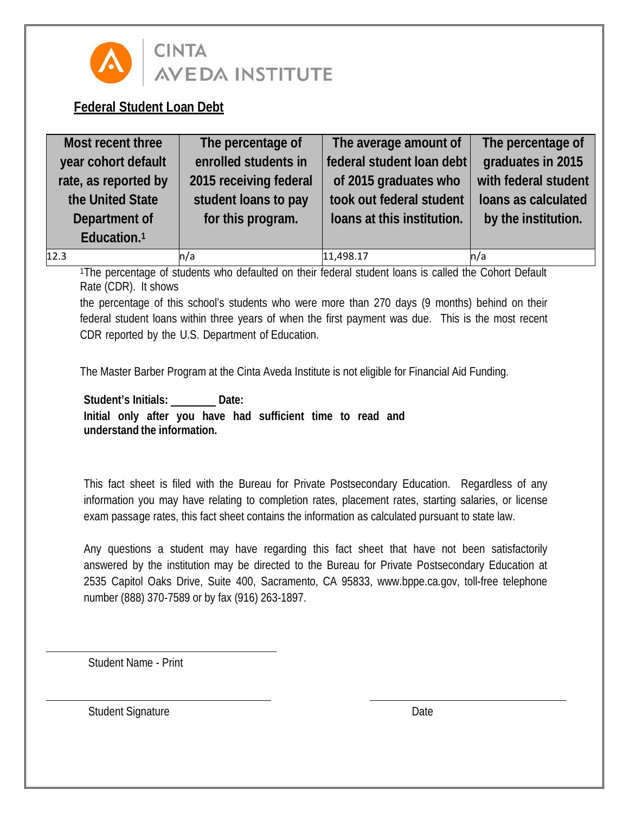

# **CINTA AVEDA INSTITUTE**

### **Federal Student Loan Debt**

| Most recent three       | The percentage of      | The average amount of      | The percentage of    |
|-------------------------|------------------------|----------------------------|----------------------|
| year cohort default     | enrolled students in   | federal student loan debt  | graduates in 2015    |
| rate, as reported by    | 2015 receiving federal | of 2015 graduates who      | with federal student |
| the United State        | student loans to pay   | took out federal student   | loans as calculated  |
| Department of           | for this program.      | loans at this institution. | by the institution.  |
| Education. <sup>1</sup> |                        |                            |                      |
| 12.3                    | n/a                    | 11,498.17                  | ln/a                 |

<sup>1</sup>The percentage of students who defaulted on their federal student loans is called the Cohort Default Rate (CDR). It shows

the percentage of this school's students who were more than 270 days (9 months) behind on their federal student loans within three years of when the first payment was due. This is the most recent CDR reported by the U.S. Department of Education.

The Master Barber Program at the Cinta Aveda Institute is not eligible for Financial Aid Funding.

Student's Initials: \_\_\_\_\_\_\_\_ Date: **Initial only after you have had sufficient time to read and understand the information.**

This fact sheet is filed with the Bureau for Private Postsecondary Education. Regardless of any information you may have relating to completion rates, placement rates, starting salaries, or license exam passage rates, this fact sheet contains the information as calculated pursuant to state law.

Any questions a student may have regarding this fact sheet that have not been satisfactorily answered by the institution may be directed to the Bureau for Private Postsecondary Education at 2535 Capitol Oaks Drive, Suite 400, Sacramento, CA 95833, [www.bppe.ca.gov,](http://www.bppe.ca.gov/) toll-free telephone number (888) 370-7589 or by fax (916) 263-1897.

Student Name - Print

Student Signature Date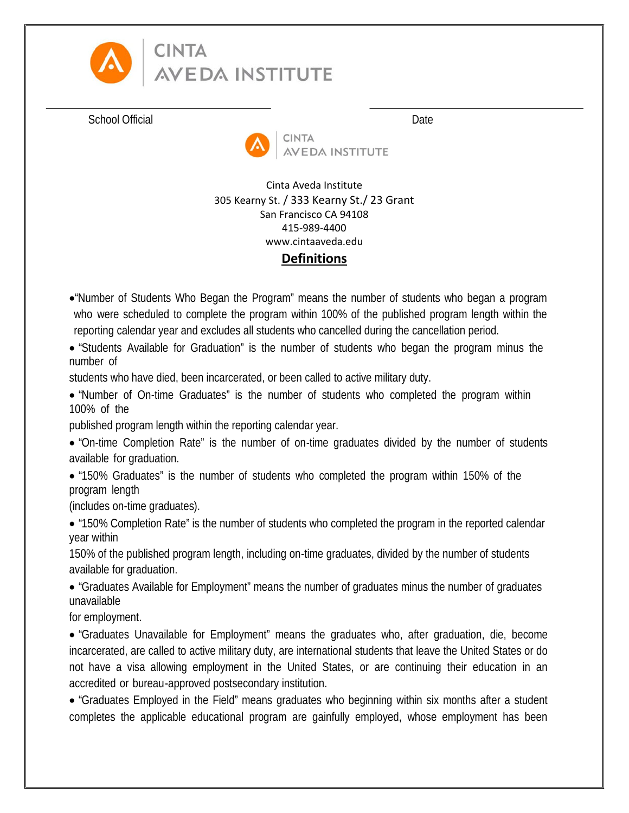

# **CINTA AVEDA INSTITUTE**

School Official Date Date Date Date



Cinta Aveda Institute 305 Kearny St. / 333 Kearny St./ 23 Grant San Francisco CA 94108 415-989-4400 www.cintaaveda.edu **Definitions**

- •"Number of Students Who Began the Program" means the number of students who began a program who were scheduled to complete the program within 100% of the published program length within the reporting calendar year and excludes all students who cancelled during the cancellation period.
- "Students Available for Graduation" is the number of students who began the program minus the number of

students who have died, been incarcerated, or been called to active military duty.

• "Number of On-time Graduates" is the number of students who completed the program within 100% of the

published program length within the reporting calendar year.

- "On-time Completion Rate" is the number of on-time graduates divided by the number of students available for graduation.
- "150% Graduates" is the number of students who completed the program within 150% of the program length

(includes on-time graduates).

• "150% Completion Rate" is the number of students who completed the program in the reported calendar year within

150% of the published program length, including on-time graduates, divided by the number of students available for graduation.

• "Graduates Available for Employment" means the number of graduates minus the number of graduates unavailable

for employment.

• "Graduates Unavailable for Employment" means the graduates who, after graduation, die, become incarcerated, are called to active military duty, are international students that leave the United States or do not have a visa allowing employment in the United States, or are continuing their education in an accredited or bureau-approved postsecondary institution.

• "Graduates Employed in the Field" means graduates who beginning within six months after a student completes the applicable educational program are gainfully employed, whose employment has been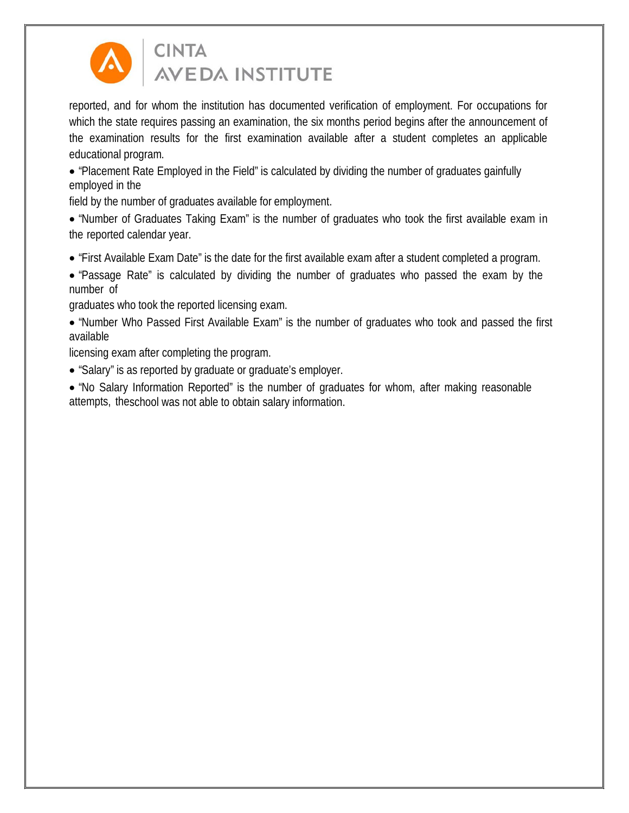

# **CINTA AVEDA INSTITUTE**

reported, and for whom the institution has documented verification of employment. For occupations for which the state requires passing an examination, the six months period begins after the announcement of the examination results for the first examination available after a student completes an applicable educational program.

• "Placement Rate Employed in the Field" is calculated by dividing the number of graduates gainfully employed in the

field by the number of graduates available for employment.

• "Number of Graduates Taking Exam" is the number of graduates who took the first available exam in the reported calendar year.

- "First Available Exam Date" is the date for the first available exam after a student completed a program.
- "Passage Rate" is calculated by dividing the number of graduates who passed the exam by the number of

graduates who took the reported licensing exam.

• "Number Who Passed First Available Exam" is the number of graduates who took and passed the first available

licensing exam after completing the program.

- "Salary" is as reported by graduate or graduate's employer.
- "No Salary Information Reported" is the number of graduates for whom, after making reasonable attempts, theschool was not able to obtain salary information.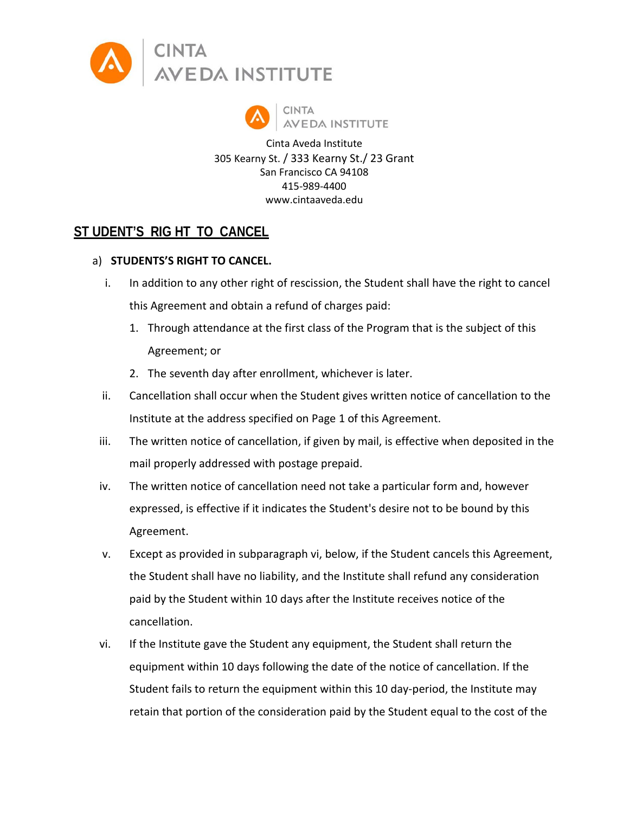



Cinta Aveda Institute 305 Kearny St. / 333 Kearny St./ 23 Grant San Francisco CA 94108 415-989-4400 www.cintaaveda.edu

#### **ST UDENT'S RIG HT TO CANCEL**

#### a) **STUDENTS'S RIGHT TO CANCEL.**

- i. In addition to any other right of rescission, the Student shall have the right to cancel this Agreement and obtain a refund of charges paid:
	- 1. Through attendance at the first class of the Program that is the subject of this Agreement; or
	- 2. The seventh day after enrollment, whichever is later.
- ii. Cancellation shall occur when the Student gives written notice of cancellation to the Institute at the address specified on Page 1 of this Agreement.
- iii. The written notice of cancellation, if given by mail, is effective when deposited in the mail properly addressed with postage prepaid.
- iv. The written notice of cancellation need not take a particular form and, however expressed, is effective if it indicates the Student's desire not to be bound by this Agreement.
- v. Except as provided in subparagraph vi, below, if the Student cancels this Agreement, the Student shall have no liability, and the Institute shall refund any consideration paid by the Student within 10 days after the Institute receives notice of the cancellation.
- vi. If the Institute gave the Student any equipment, the Student shall return the equipment within 10 days following the date of the notice of cancellation. If the Student fails to return the equipment within this 10 day-period, the Institute may retain that portion of the consideration paid by the Student equal to the cost of the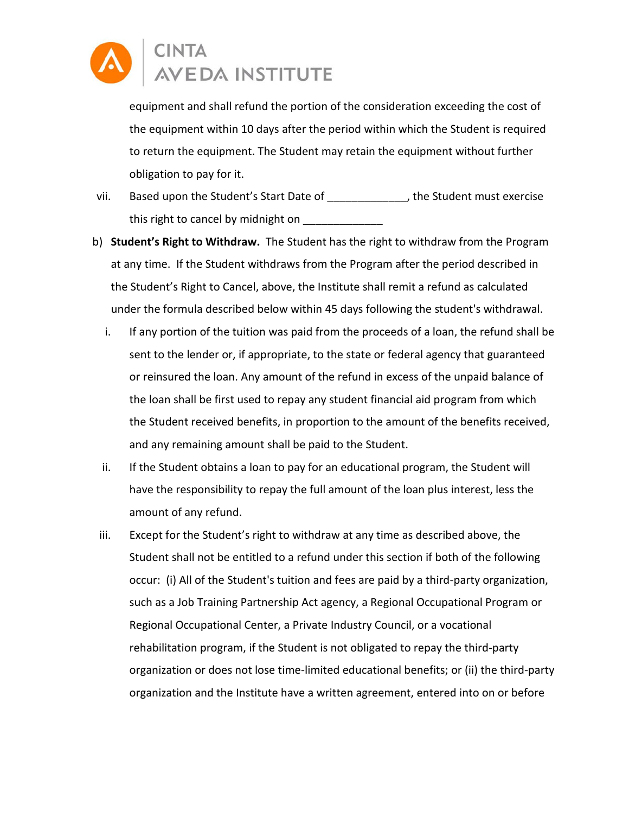

equipment and shall refund the portion of the consideration exceeding the cost of the equipment within 10 days after the period within which the Student is required to return the equipment. The Student may retain the equipment without further obligation to pay for it.

- vii. Based upon the Student's Start Date of \_\_\_\_\_\_\_\_\_\_\_\_\_, the Student must exercise this right to cancel by midnight on
- b) **Student's Right to Withdraw.** The Student has the right to withdraw from the Program at any time. If the Student withdraws from the Program after the period described in the Student's Right to Cancel, above, the Institute shall remit a refund as calculated under the formula described below within 45 days following the student's withdrawal.
	- i. If any portion of the tuition was paid from the proceeds of a loan, the refund shall be sent to the lender or, if appropriate, to the state or federal agency that guaranteed or reinsured the loan. Any amount of the refund in excess of the unpaid balance of the loan shall be first used to repay any student financial aid program from which the Student received benefits, in proportion to the amount of the benefits received, and any remaining amount shall be paid to the Student.
	- ii. If the Student obtains a loan to pay for an educational program, the Student will have the responsibility to repay the full amount of the loan plus interest, less the amount of any refund.
- iii. Except for the Student's right to withdraw at any time as described above, the Student shall not be entitled to a refund under this section if both of the following occur: (i) All of the Student's tuition and fees are paid by a third-party organization, such as a Job Training Partnership Act agency, a Regional Occupational Program or Regional Occupational Center, a Private Industry Council, or a vocational rehabilitation program, if the Student is not obligated to repay the third-party organization or does not lose time-limited educational benefits; or (ii) the third-party organization and the Institute have a written agreement, entered into on or before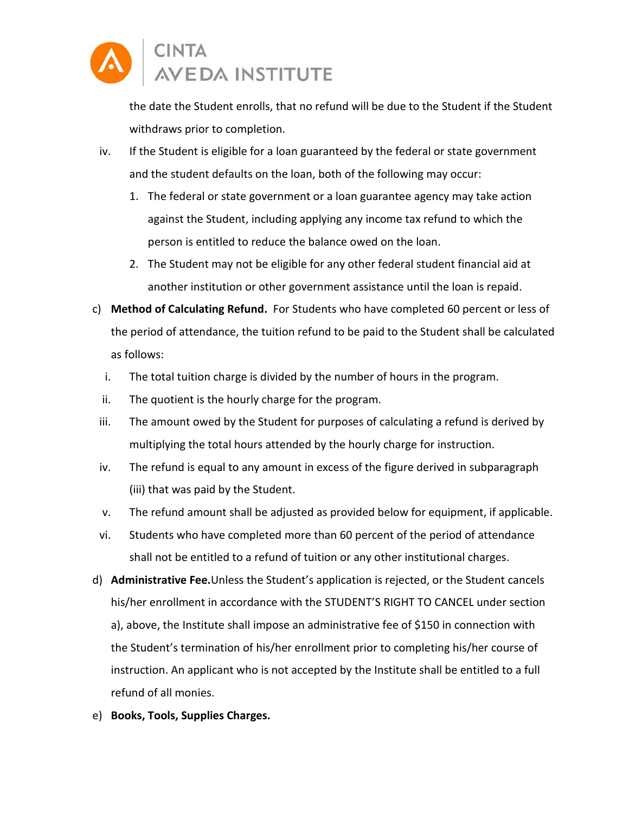

the date the Student enrolls, that no refund will be due to the Student if the Student withdraws prior to completion.

- iv. If the Student is eligible for a loan guaranteed by the federal or state government and the student defaults on the loan, both of the following may occur:
	- 1. The federal or state government or a loan guarantee agency may take action against the Student, including applying any income tax refund to which the person is entitled to reduce the balance owed on the loan.
	- 2. The Student may not be eligible for any other federal student financial aid at another institution or other government assistance until the loan is repaid.
- c) **Method of Calculating Refund.** For Students who have completed 60 percent or less of the period of attendance, the tuition refund to be paid to the Student shall be calculated as follows:
	- i. The total tuition charge is divided by the number of hours in the program.
	- ii. The quotient is the hourly charge for the program.
	- iii. The amount owed by the Student for purposes of calculating a refund is derived by multiplying the total hours attended by the hourly charge for instruction.
	- iv. The refund is equal to any amount in excess of the figure derived in subparagraph (iii) that was paid by the Student.
	- v. The refund amount shall be adjusted as provided below for equipment, if applicable.
- vi. Students who have completed more than 60 percent of the period of attendance shall not be entitled to a refund of tuition or any other institutional charges.
- d) **Administrative Fee.**Unless the Student's application is rejected, or the Student cancels his/her enrollment in accordance with the STUDENT'S RIGHT TO CANCEL under section a), above, the Institute shall impose an administrative fee of \$150 in connection with the Student's termination of his/her enrollment prior to completing his/her course of instruction. An applicant who is not accepted by the Institute shall be entitled to a full refund of all monies.
- e) **Books, Tools, Supplies Charges.**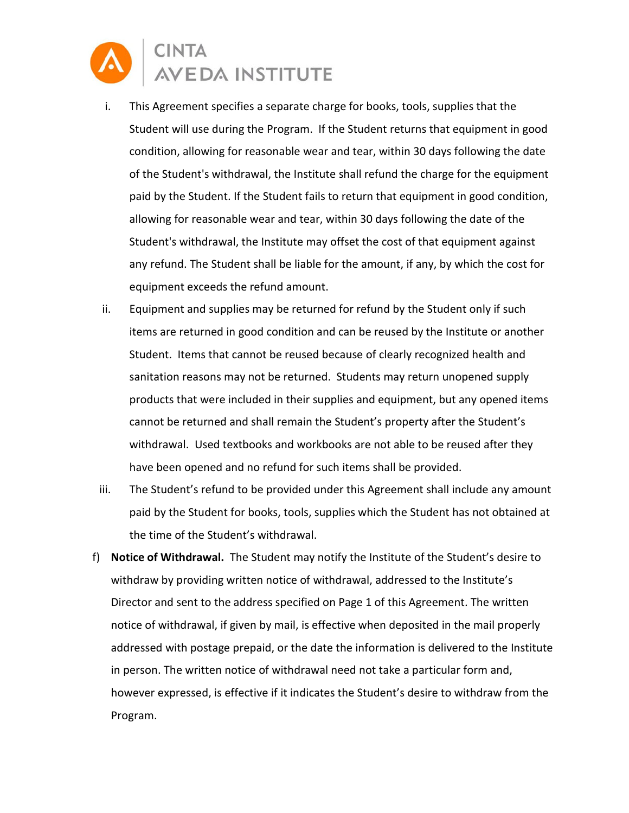

- i. This Agreement specifies a separate charge for books, tools, supplies that the Student will use during the Program. If the Student returns that equipment in good condition, allowing for reasonable wear and tear, within 30 days following the date of the Student's withdrawal, the Institute shall refund the charge for the equipment paid by the Student. If the Student fails to return that equipment in good condition, allowing for reasonable wear and tear, within 30 days following the date of the Student's withdrawal, the Institute may offset the cost of that equipment against any refund. The Student shall be liable for the amount, if any, by which the cost for equipment exceeds the refund amount.
- ii. Equipment and supplies may be returned for refund by the Student only if such items are returned in good condition and can be reused by the Institute or another Student. Items that cannot be reused because of clearly recognized health and sanitation reasons may not be returned. Students may return unopened supply products that were included in their supplies and equipment, but any opened items cannot be returned and shall remain the Student's property after the Student's withdrawal. Used textbooks and workbooks are not able to be reused after they have been opened and no refund for such items shall be provided.
- iii. The Student's refund to be provided under this Agreement shall include any amount paid by the Student for books, tools, supplies which the Student has not obtained at the time of the Student's withdrawal.
- f) **Notice of Withdrawal.** The Student may notify the Institute of the Student's desire to withdraw by providing written notice of withdrawal, addressed to the Institute's Director and sent to the address specified on Page 1 of this Agreement. The written notice of withdrawal, if given by mail, is effective when deposited in the mail properly addressed with postage prepaid, or the date the information is delivered to the Institute in person. The written notice of withdrawal need not take a particular form and, however expressed, is effective if it indicates the Student's desire to withdraw from the Program.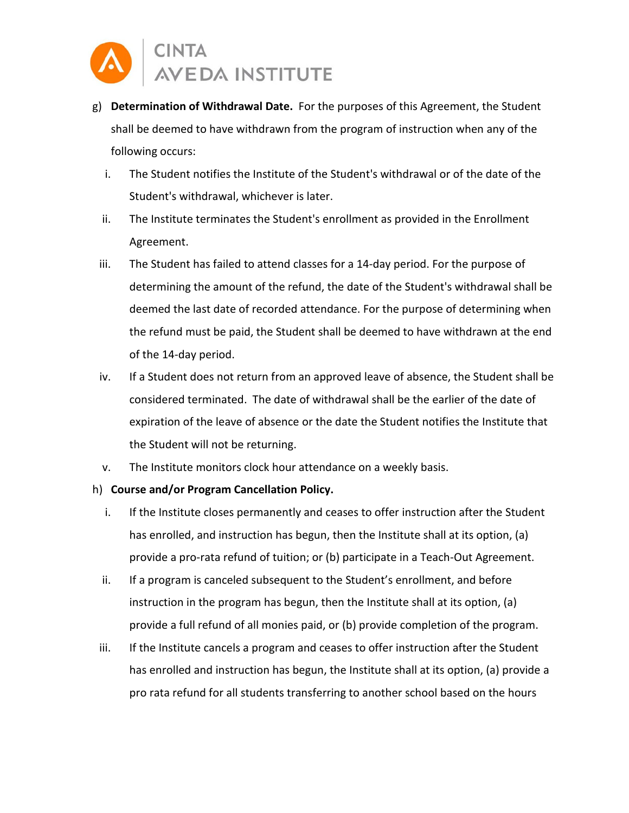

- g) **Determination of Withdrawal Date.** For the purposes of this Agreement, the Student shall be deemed to have withdrawn from the program of instruction when any of the following occurs:
	- i. The Student notifies the Institute of the Student's withdrawal or of the date of the Student's withdrawal, whichever is later.
	- ii. The Institute terminates the Student's enrollment as provided in the Enrollment Agreement.
- iii. The Student has failed to attend classes for a 14-day period. For the purpose of determining the amount of the refund, the date of the Student's withdrawal shall be deemed the last date of recorded attendance. For the purpose of determining when the refund must be paid, the Student shall be deemed to have withdrawn at the end of the 14-day period.
- iv. If a Student does not return from an approved leave of absence, the Student shall be considered terminated. The date of withdrawal shall be the earlier of the date of expiration of the leave of absence or the date the Student notifies the Institute that the Student will not be returning.
- v. The Institute monitors clock hour attendance on a weekly basis.
- h) **Course and/or Program Cancellation Policy.** 
	- i. If the Institute closes permanently and ceases to offer instruction after the Student has enrolled, and instruction has begun, then the Institute shall at its option, (a) provide a pro-rata refund of tuition; or (b) participate in a Teach-Out Agreement.
	- ii. If a program is canceled subsequent to the Student's enrollment, and before instruction in the program has begun, then the Institute shall at its option, (a) provide a full refund of all monies paid, or (b) provide completion of the program.
- iii. If the Institute cancels a program and ceases to offer instruction after the Student has enrolled and instruction has begun, the Institute shall at its option, (a) provide a pro rata refund for all students transferring to another school based on the hours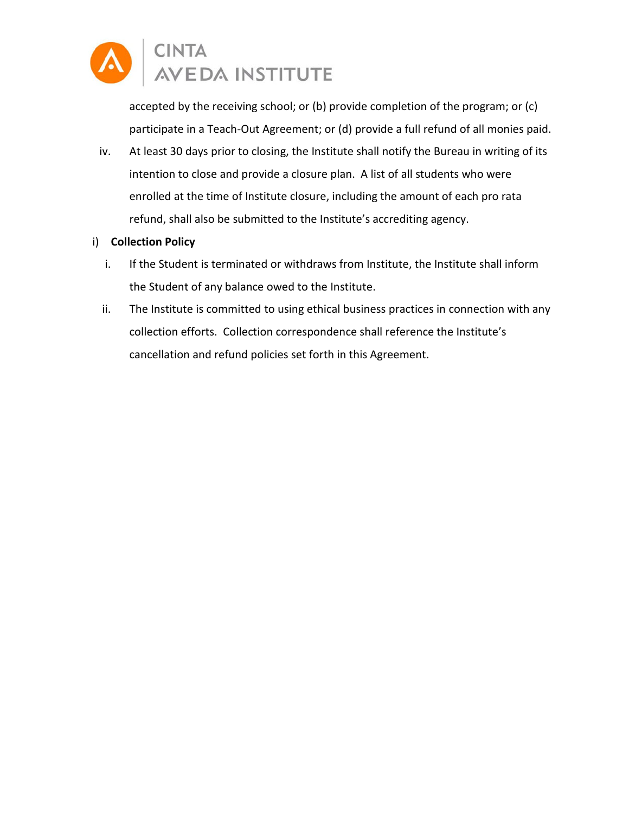

accepted by the receiving school; or (b) provide completion of the program; or (c) participate in a Teach-Out Agreement; or (d) provide a full refund of all monies paid.

iv. At least 30 days prior to closing, the Institute shall notify the Bureau in writing of its intention to close and provide a closure plan. A list of all students who were enrolled at the time of Institute closure, including the amount of each pro rata refund, shall also be submitted to the Institute's accrediting agency.

#### i) **Collection Policy**

- i. If the Student is terminated or withdraws from Institute, the Institute shall inform the Student of any balance owed to the Institute.
- ii. The Institute is committed to using ethical business practices in connection with any collection efforts. Collection correspondence shall reference the Institute's cancellation and refund policies set forth in this Agreement.